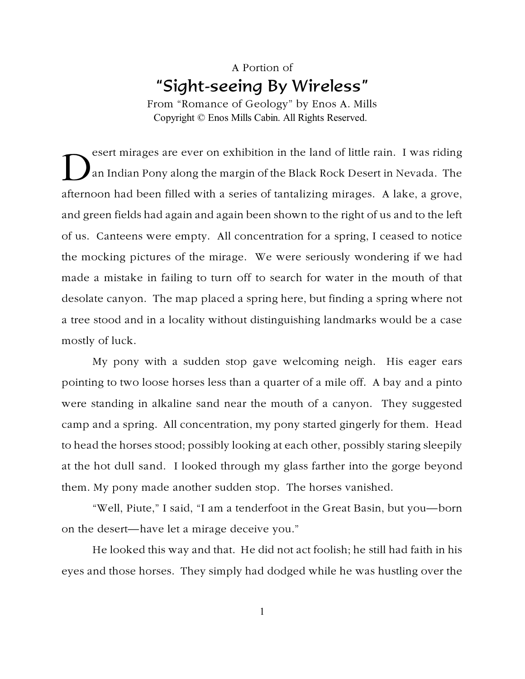## A Portion of "Sight-seeing By Wireless"

From "Romance of Geology" by Enos A. Mills Copyright © Enos Mills Cabin. All Rights Reserved.

D esert mirages are ever on exhibition in the land of little rain. I was riding an Indian Pony along the margin of the Black Rock Desert in Nevada. The afternoon had been filled with a series of tantalizing mirages. A lake, a grove, and green fields had again and again been shown to the right of us and to the left of us. Canteens were empty. All concentration for a spring, I ceased to notice the mocking pictures of the mirage. We were seriously wondering if we had made a mistake in failing to turn off to search for water in the mouth of that desolate canyon. The map placed a spring here, but finding a spring where not a tree stood and in a locality without distinguishing landmarks would be a case mostly of luck.

My pony with a sudden stop gave welcoming neigh. His eager ears pointing to two loose horses less than a quarter of a mile off. A bay and a pinto were standing in alkaline sand near the mouth of a canyon. They suggested camp and a spring. All concentration, my pony started gingerly for them. Head to head the horses stood; possibly looking at each other, possibly staring sleepily at the hot dull sand. I looked through my glass farther into the gorge beyond them. My pony made another sudden stop. The horses vanished.

"Well, Piute," I said, "I am a tenderfoot in the Great Basin, but you—born on the desert—have let a mirage deceive you."

He looked this way and that. He did not act foolish; he still had faith in his eyes and those horses. They simply had dodged while he was hustling over the

1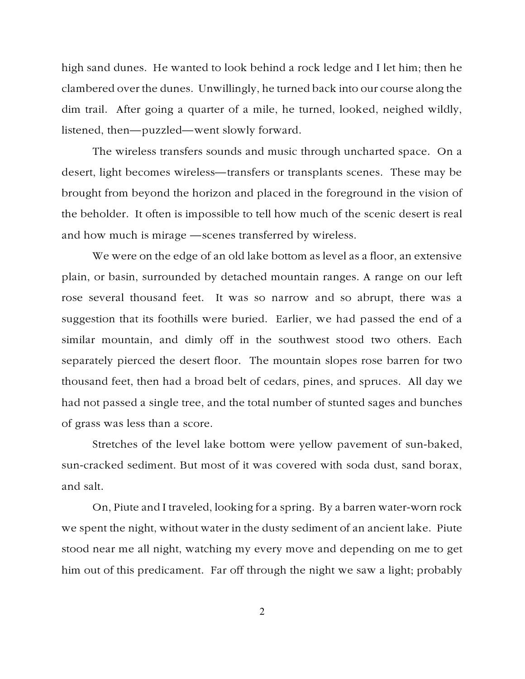high sand dunes. He wanted to look behind a rock ledge and I let him; then he clambered over the dunes. Unwillingly, he turned back into our course along the dim trail. After going a quarter of a mile, he turned, looked, neighed wildly, listened, then—puzzled—went slowly forward.

The wireless transfers sounds and music through uncharted space. On a desert, light becomes wireless—transfers or transplants scenes. These may be brought from beyond the horizon and placed in the foreground in the vision of the beholder. It often is impossible to tell how much of the scenic desert is real and how much is mirage —scenes transferred by wireless.

We were on the edge of an old lake bottom as level as a floor, an extensive plain, or basin, surrounded by detached mountain ranges. A range on our left rose several thousand feet. It was so narrow and so abrupt, there was a suggestion that its foothills were buried. Earlier, we had passed the end of a similar mountain, and dimly off in the southwest stood two others. Each separately pierced the desert floor. The mountain slopes rose barren for two thousand feet, then had a broad belt of cedars, pines, and spruces. All day we had not passed a single tree, and the total number of stunted sages and bunches of grass was less than a score.

Stretches of the level lake bottom were yellow pavement of sun-baked, sun-cracked sediment. But most of it was covered with soda dust, sand borax, and salt.

On, Piute and I traveled, looking for a spring. By a barren water-worn rock we spent the night, without water in the dusty sediment of an ancient lake. Piute stood near me all night, watching my every move and depending on me to get him out of this predicament. Far off through the night we saw a light; probably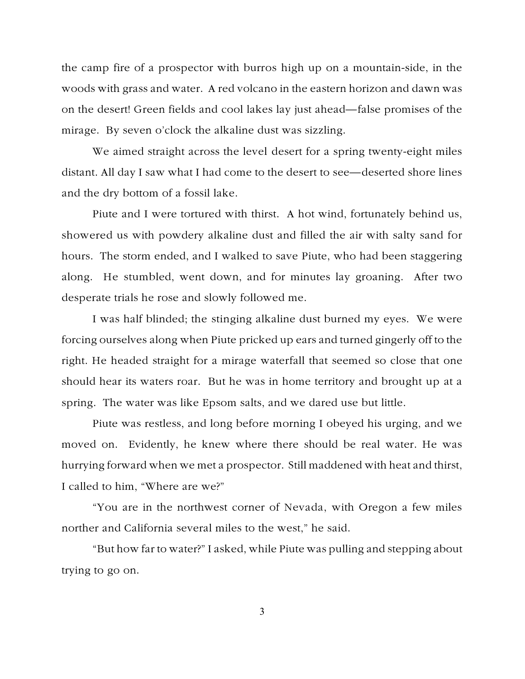the camp fire of a prospector with burros high up on a mountain-side, in the woods with grass and water. A red volcano in the eastern horizon and dawn was on the desert! Green fields and cool lakes lay just ahead—false promises of the mirage. By seven o'clock the alkaline dust was sizzling.

We aimed straight across the level desert for a spring twenty-eight miles distant. All day I saw what I had come to the desert to see—deserted shore lines and the dry bottom of a fossil lake.

Piute and I were tortured with thirst. A hot wind, fortunately behind us, showered us with powdery alkaline dust and filled the air with salty sand for hours. The storm ended, and I walked to save Piute, who had been staggering along. He stumbled, went down, and for minutes lay groaning. After two desperate trials he rose and slowly followed me.

I was half blinded; the stinging alkaline dust burned my eyes. We were forcing ourselves along when Piute pricked up ears and turned gingerly off to the right. He headed straight for a mirage waterfall that seemed so close that one should hear its waters roar. But he was in home territory and brought up at a spring. The water was like Epsom salts, and we dared use but little.

Piute was restless, and long before morning I obeyed his urging, and we moved on. Evidently, he knew where there should be real water. He was hurrying forward when we met a prospector. Still maddened with heat and thirst, I called to him, "Where are we?"

"You are in the northwest corner of Nevada, with Oregon a few miles norther and California several miles to the west," he said.

"But how far to water?" I asked, while Piute was pulling and stepping about trying to go on.

3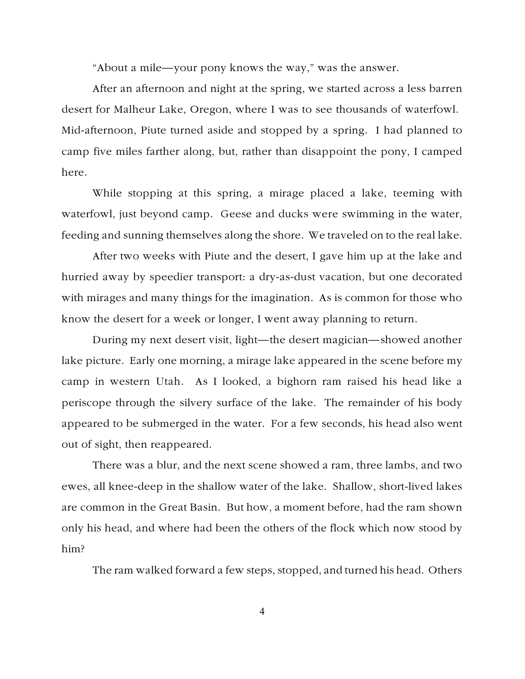"About a mile—your pony knows the way," was the answer.

After an afternoon and night at the spring, we started across a less barren desert for Malheur Lake, Oregon, where I was to see thousands of waterfowl. Mid-afternoon, Piute turned aside and stopped by a spring. I had planned to camp five miles farther along, but, rather than disappoint the pony, I camped here.

While stopping at this spring, a mirage placed a lake, teeming with waterfowl, just beyond camp. Geese and ducks were swimming in the water, feeding and sunning themselves along the shore. We traveled on to the real lake.

After two weeks with Piute and the desert, I gave him up at the lake and hurried away by speedier transport: a dry-as-dust vacation, but one decorated with mirages and many things for the imagination. As is common for those who know the desert for a week or longer, I went away planning to return.

During my next desert visit, light—the desert magician—showed another lake picture. Early one morning, a mirage lake appeared in the scene before my camp in western Utah. As I looked, a bighorn ram raised his head like a periscope through the silvery surface of the lake. The remainder of his body appeared to be submerged in the water. For a few seconds, his head also went out of sight, then reappeared.

There was a blur, and the next scene showed a ram, three lambs, and two ewes, all knee-deep in the shallow water of the lake. Shallow, short-lived lakes are common in the Great Basin. But how, a moment before, had the ram shown only his head, and where had been the others of the flock which now stood by him?

The ram walked forward a few steps, stopped, and turned his head. Others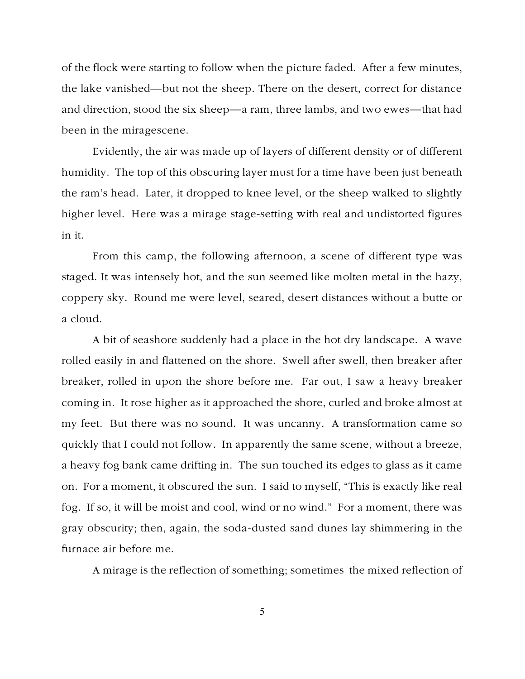of the flock were starting to follow when the picture faded. After a few minutes, the lake vanished—but not the sheep. There on the desert, correct for distance and direction, stood the six sheep—a ram, three lambs, and two ewes—that had been in the miragescene.

Evidently, the air was made up of layers of different density or of different humidity. The top of this obscuring layer must for a time have been just beneath the ram's head. Later, it dropped to knee level, or the sheep walked to slightly higher level. Here was a mirage stage-setting with real and undistorted figures in it.

From this camp, the following afternoon, a scene of different type was staged. It was intensely hot, and the sun seemed like molten metal in the hazy, coppery sky. Round me were level, seared, desert distances without a butte or a cloud.

A bit of seashore suddenly had a place in the hot dry landscape. A wave rolled easily in and flattened on the shore. Swell after swell, then breaker after breaker, rolled in upon the shore before me. Far out, I saw a heavy breaker coming in. It rose higher as it approached the shore, curled and broke almost at my feet. But there was no sound. It was uncanny. A transformation came so quickly that I could not follow. In apparently the same scene, without a breeze, a heavy fog bank came drifting in. The sun touched its edges to glass as it came on. For a moment, it obscured the sun. I said to myself, "This is exactly like real fog. If so, it will be moist and cool, wind or no wind." For a moment, there was gray obscurity; then, again, the soda-dusted sand dunes lay shimmering in the furnace air before me.

A mirage is the reflection of something; sometimes the mixed reflection of

5